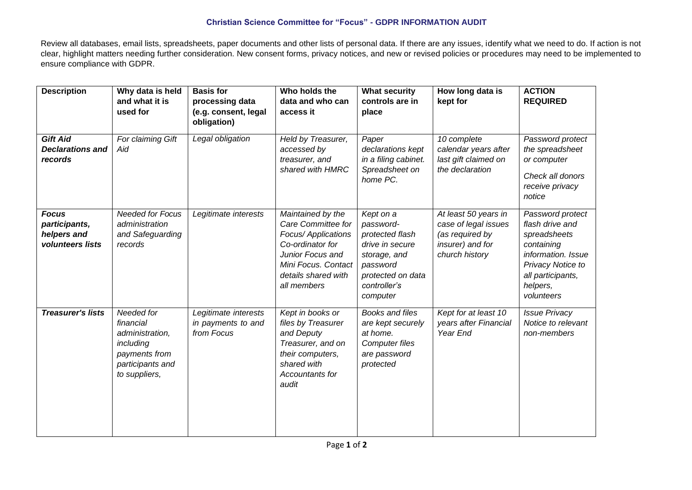## **Christian Science Committee for "Focus" - GDPR INFORMATION AUDIT**

Review all databases, email lists, spreadsheets, paper documents and other lists of personal data. If there are any issues, identify what we need to do. If action is not clear, highlight matters needing further consideration. New consent forms, privacy notices, and new or revised policies or procedures may need to be implemented to ensure compliance with GDPR.

| <b>Description</b>                                               | Why data is held<br>and what it is<br>used for                                                                | <b>Basis for</b><br>processing data<br>(e.g. consent, legal<br>obligation) | Who holds the<br>data and who can<br>access it                                                                                                                      | <b>What security</b><br>controls are in<br>place                                                                                          | How long data is<br>kept for                                                                          | <b>ACTION</b><br><b>REQUIRED</b>                                                                                                                            |
|------------------------------------------------------------------|---------------------------------------------------------------------------------------------------------------|----------------------------------------------------------------------------|---------------------------------------------------------------------------------------------------------------------------------------------------------------------|-------------------------------------------------------------------------------------------------------------------------------------------|-------------------------------------------------------------------------------------------------------|-------------------------------------------------------------------------------------------------------------------------------------------------------------|
| <b>Gift Aid</b><br><b>Declarations and</b><br>records            | For claiming Gift<br>Aid                                                                                      | Legal obligation                                                           | Held by Treasurer,<br>accessed by<br>treasurer, and<br>shared with HMRC                                                                                             | Paper<br>declarations kept<br>in a filing cabinet.<br>Spreadsheet on<br>home PC.                                                          | 10 complete<br>calendar years after<br>last gift claimed on<br>the declaration                        | Password protect<br>the spreadsheet<br>or computer<br>Check all donors<br>receive privacy<br>notice                                                         |
| <b>Focus</b><br>participants,<br>helpers and<br>volunteers lists | <b>Needed for Focus</b><br>administration<br>and Safeguarding<br>records                                      | Legitimate interests                                                       | Maintained by the<br>Care Committee for<br>Focus/ Applications<br>Co-ordinator for<br>Junior Focus and<br>Mini Focus. Contact<br>details shared with<br>all members | Kept on a<br>password-<br>protected flash<br>drive in secure<br>storage, and<br>password<br>protected on data<br>controller's<br>computer | At least 50 years in<br>case of legal issues<br>(as required by<br>insurer) and for<br>church history | Password protect<br>flash drive and<br>spreadsheets<br>containing<br>information. Issue<br>Privacy Notice to<br>all participants,<br>helpers,<br>volunteers |
| <b>Treasurer's lists</b>                                         | Needed for<br>financial<br>administration,<br>including<br>payments from<br>participants and<br>to suppliers, | Legitimate interests<br>in payments to and<br>from Focus                   | Kept in books or<br>files by Treasurer<br>and Deputy<br>Treasurer, and on<br>their computers,<br>shared with<br>Accountants for<br>audit                            | Books and files<br>are kept securely<br>at home.<br><b>Computer files</b><br>are password<br>protected                                    | Kept for at least 10<br>years after Financial<br>Year End                                             | <b>Issue Privacy</b><br>Notice to relevant<br>non-members                                                                                                   |